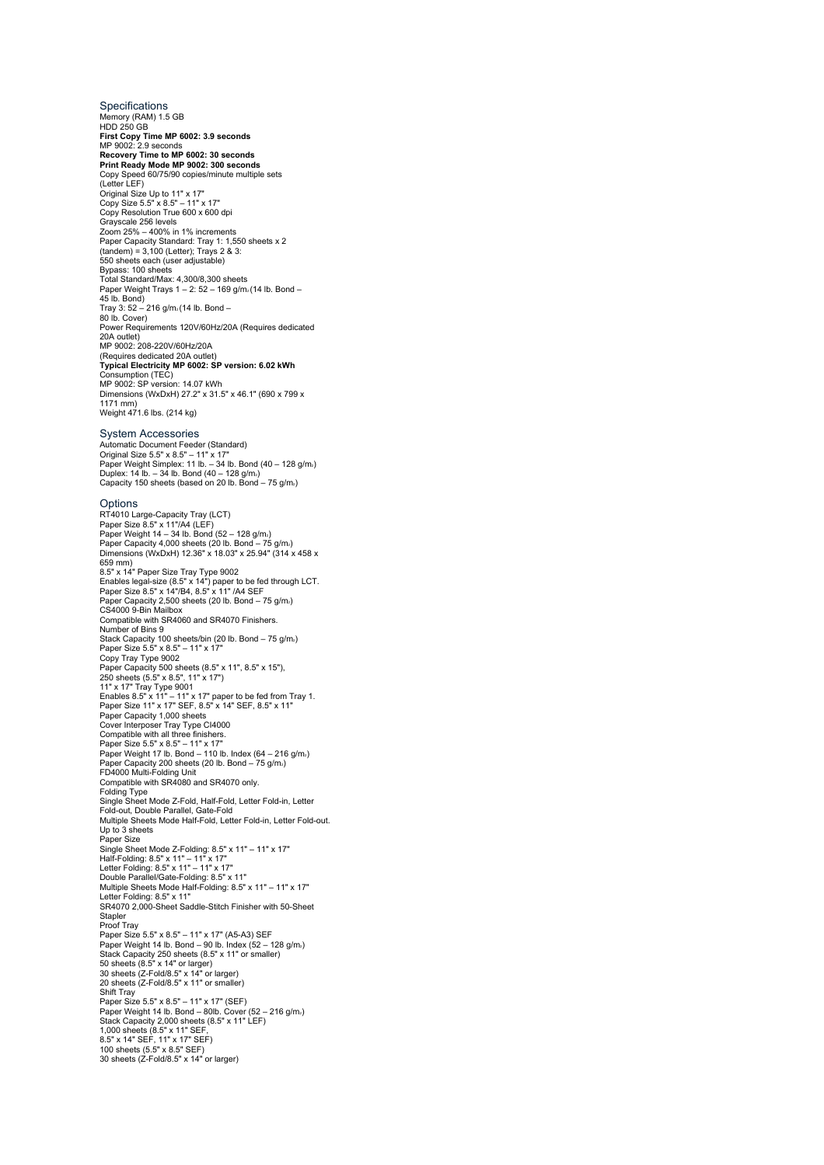Specifications Memory (RAM) 1.5 GB HDD 250 GB **First Copy Time MP 6002: 3.9 seconds** MP 9002: 2.9 seconds **Recovery Time to MP 6002: 30 seconds<br><b>Print Ready Mode MP 9002: 300 seconds**<br>Copy Speed 60/75/90 copies/minute multiple sets<br>(Letter LEF) Original Size Up to 11" x 17" Copy Size 5.5" x 8.5" – 11" x 17" Copy Resolution True 600 x 600 dpi Grayscale 256 levels Zoom 25% – 400% in 1% increments Paper Capacity Standard: Tray 1: 1,550 sheets x 2 (tandem) = 3,100 (Letter); Trays 2 & 3: 550 sheets each (user adjustable) Bypass: 100 sheets Total Standard/Max: 4,300/8,300 sheets Paper Weight Trays  $1 - 2: 52 - 169$  g/m<sub>2</sub> (14 lb. Bond – 45 lb. Bond) Tray 3: 52 – 216 g/m2 (14 lb. Bond – 80 lb. Cover) Power Requirements 120V/60Hz/20A (Requires dedicated 20A outlet) MP 9002: 208-220V/60Hz/20A (Requires dedicated 20A outlet)<br>**Typical Electricity MP 6002: SP version: 6.02 kWh**<br>Consumption (TEC)<br>MP 9002: SP version: 14.07 kWh<br>Dimensions (WxDxH) 27.2" x 31.5" x 46.1" (690 x 799 x 1171 mm) Weight 471.6 lbs. (214 kg) System Accessories Automatic Document Feeder (Standard) Original Size 5.5" x 8.5" – 11" x 17" Paper Weight Simplex: 11 lb. – 34 lb. Bond (40 – 128 g/m2) Duplex: 14 lb. – 34 lb. Bond (40 – 128 g/m。)<br>Capacity 150 sheets (based on 20 lb. Bond – 75 g/m。) Options RT4010 Large-Capacity Tray (LCT)<br>Paper Weight 14 – 34 lb. Bond (52 – 128 g/m.)<br>Paper Weight 14 – 34 lb. Bond (52 – 128 g/m.)<br>Paper Capacity 4,000 sheets (20 lb. Bond – 75 g/m.)<br>Dimensions (WxDxH) 12.36" x 18.03" x 25.94" ( 659 mm) 8.5" x 14" Paper Size Tray Type 9002 Enables legal-size (8.5" x 14") paper to be fed through LCT.<br>Paper Size 8.5" x 14"/B4, 8.5" x 11" /A4 SEF<br>Paper Capacity 2,500 sheets (20 lb. Bond – 75 g/m.)<br>CS4000 9-Bin Mailbox<br>Compatible with SR4060 and SR4070 Finishers Number of Bins 9 Stack Capacity 100 sheets/bin (20 lb. Bond – 75 g/m،)<br>Paper Size 5.5" x 8.5" – 11" x 17"<br>Copy Tray Type 9002 Paper Capacity 500 sheets (8.5" x 11", 8.5" x 15"),<br>250 sheets (5.5" x 8.5", 11" x 17")<br>11" x 17" Tray Type 9001<br>Enables 8.5" x 11" – 11" x 17" paper to be fed from Tray 1.<br>Paper Capacity 1,000 sheets<br>Paper Capacity 1,000 Cover Interposer Tray Type CI4000<br>Compatible with all three finishers.<br>Paper Size 5.5" x 8.5" – 11" x 17"<br>Paper Weight 17 lb. Bond – 110 lb. Index (64 – 216 g/m.)<br>Paper Capacity 200 sheets (20 lb. Bond – 75 g/m.) FD4000 Multi-Folding Unit Compatible with SR4080 and SR4070 only. Folding Type Single Sheet Mode Z-Fold, Half-Fold, Letter Fold-in, Letter Fold-out, Double Parallel, Gate-Fold Multiple Sheets Mode Half-Fold, Letter Fold-in, Letter Fold-out. Up to 3 sheets Paper Size Single Sheet Mode Z-Folding: 8.5" x 11" – 11" x 17"<br>Half-Folding: 8.5" x 11" – 11" x 17"<br>Letter Folding: 8.5" x 11" – 11" x 17"<br>Double Parallel/Gate-Folding: 8.5" x 11"<br>Multiple Sheets Mode Half-Folding: 8.5" x 11" – 11" x Letter Folding: 8.5" x 11" SR4070 2,000-Sheet Saddle-Stitch Finisher with 50-Sheet **Stapler** Proof Tray Paper Size 5.5" x 8.5" – 11" x 17" (A5-A3) SEF<br>Paper Weight 14 lb. Bond – 90 lb. Index (52 – 128 g/m.) Stack Capacity 250 sheets (8.5" x 11" or smaller)<br>50 sheets (8.5" x 14" or larger)<br>30 sheets (Z-Fold/8.5" x 14" or larger)<br>20 sheets (Z-Fold/8.5" x 11" or smaller) Shift Tray Paper Size 5.5" x 8.5" – 11" x 17" (SEF)<br>Paper Weight 14 Ib. Bond – 80lb. Cover (52 – 216 g/m.)<br>Stack Capacity 2,000 sheets (8.5" x 11" LEF)<br>1,000 sheets (8.5" x 11" SEF,<br>8.5" x 14" SEF, 11" x 17" SEF)<br>100 sheets (5.5" x 8 30 sheets (Z-Fold/8.5" x 14" or larger)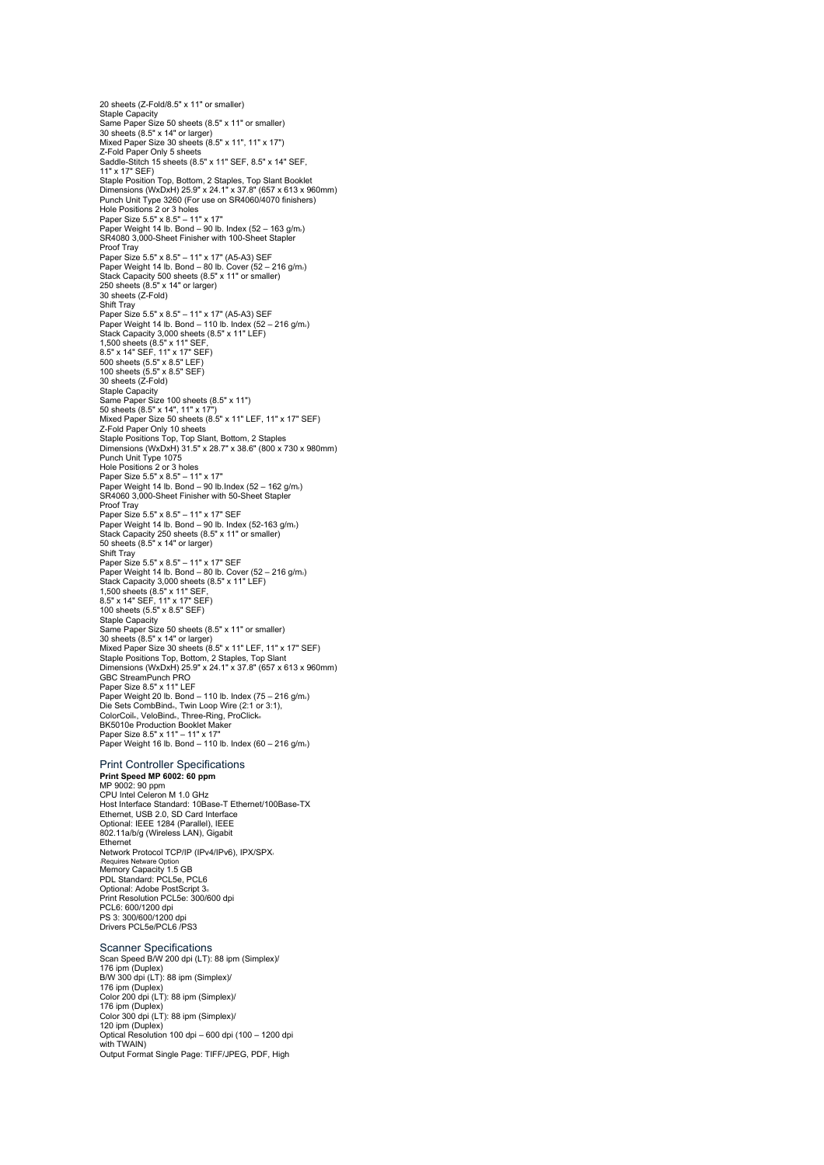20 sheets (Z-Fold/8.5" x 11" or smaller) Staple Capacity Same Paper Size 50 sheets (8.5" x 11" or smaller) 30 sheets (8.5" x 14" or larger) Mixed Paper Size 30 sheets (8.5" x 11", 11" x 17") Z-Fold Paper Only 5 sheets Saddle-Stitch 15 sheets (8.5" x 11" SEF, 8.5" x 14" SEF, 11" x 17" SEF) Staple Position Top, Bottom, 2 Staples, Top Slant Booklet Dimensions (WxDxH) 25.9" x 24.1" x 37.8" (657 x 613 x 960mm) Punch Unit Type 3260 (For use on SR4060/4070 finishers)<br>Hole Positions 2 or 3 holes<br>Paper Size 5.5" x 8.5" – 11" x 17"<br>Paper Weight 14 lb. Bond – 90 lb. Index (52 – 163 g/m.)<br>SR4080 3,000-Sheet Finisher with 100-Sheet Stap Proof Tray Paper Size 5.5" x 8.5" – 11" x 17" (A5-A3) SEF Paper Weight 14 lb. Bond – 80 lb. Cover (52 – 216 g/m2) Stack Capacity 500 sheets (8.5" x 11" or smaller) 250 sheets (8.5" x 14" or larger) 30 sheets (Z-Fold) Shift Tray Paper Size 5.5" x 8.5" – 11" x 17" (A5-A3) SEF Paper Weight 14 lb. Bond – 110 lb. Index (52 – 216 g/m2) Stack Capacity 3,000 sheets (8.5" x 11" LEF) 1,500 sheets (8.5" x 11" SEF, 8.5" x 14" SEF, 11" x 17" SEF) 500 sheets (5.5" x 8.5" LEF) 100 sheets (5.5" x 8.5" SEF) 30 sheets (Z-Fold) Staple Capacity Same Paper Size 100 sheets (8.5" x 11") 50 sheets (8.5" x 14", 11" x 17") Mixed Paper Size 50 sheets (8.5" x 11" LEF, 11" x 17" SEF) Z-Fold Paper Only 10 sheets Staple Positions Top, Top Slant, Bottom, 2 Staples Dimensions (WxDxH) 31.5" x 28.7" x 38.6" (800 x 730 x 980mm) Punch Unit Type 1075 Hole Positions 2 or 3 holes Paper Size 5.5" x 8.5" – 11" x 17"<br>Paper Weight 14 lb. Bond – 90 lb.Index (52 – 162 g/m،) SR4060 3,000-Sheet Finisher with 50-Sheet Stapl Proof Tray Paper Size 5.5" x 8.5" – 11" x 17" SEF Paper Weight 14 lb. Bond – 90 lb. Index (52-163 g/m<sub>2</sub>) Stack Capacity 250 sheets (8.5" x 11" or smaller) 50 sheets (8.5" x 14" or larger) Shift Tray Paper Size 5.5" x 8.5" – 11" x 17" SEF Paper Weight 14 lb. Bond – 80 lb. Cover (52 – 216 g/m2) Stack Capacity 3,000 sheets (8.5" x 11" LEF)<br>1,500 sheets (8.5" x 11" SEF,<br>8.5" x 14" SEF, 11" x 17" SEF)<br>100 sheets (5.5" x 8.5" SEF) Staple Capacity Same Paper Size 50 sheets (8.5" x 11" or smaller) 30 sheets (8.5" x 14" or larger) Mixed Paper Size 30 sheets (8.5" x 11" LEF, 11" x 17" SEF) Staple Positions Top, Bottom, 2 Staples, Top Slant Dimensions (WxDxH) 25.9" x 24.1" x 37.8" (657 x 613 x 960mm) GBC StreamPunch PRO Paper Size 8.5" x 11" LEF<br>Paper Weight 20 lb. Bond – 110 lb. Index (75 – 216 g/m.) Die Sets CombBind<sub>®</sub>, Twin Loop Wire (2:1 or 3:1),<br>ColorCoil®, VeloBind®, Three-Ring, ProClick®<br>BK5010e Production Booklet Maker<br>Paper Size 8.5" x 11" – 11" x 17"<br>Paper Weight 16 lb. Bond – 110 lb. Index (60 – 216 g/m.)

## Print Controller Specifications

**Print Speed MP 6002: 60 ppm**<br>MP 9002: 90 ppm<br>CPU Intel Celeron M 1.0 GHz<br>Host Interface Standard: 10Base-T Ethernet/100Base-TX Ethernet, USB 2.0, SD Card Interface Optional: IEEE 1284 (Parallel), IEEE 802.11a/b/g (Wireless LAN), Gigabit Ethernet Network Protocol TCP/IP (IPv4/IPv6), IPX/SPX1 1Requires Netware Option Memory Capacity 1.5 GB PDL Standard: PCL5e, PCL6 Optional: Adobe PostScript 3© Print Resolution PCL5e: 300/600 dpi PCL6: 600/1200 dpi PS 3: 300/600/1200 dpi Drivers PCL5e/PCL6 /PS3

## Scanner Specifications

Scan Speed B/W 200 dpi (LT): 88 ipm (Simplex)/ 176 ipm (Duplex) B/W 300 dpi (LT): 88 ipm (Simplex)/ 176 ipm (Duplex) Color 200 dpi (LT): 88 ipm (Simplex)/ 176 ipm (Duplex) Color 300 dpi (LT): 88 ipm (Simplex)/ 120 ipm (Duplex) Optical Resolution 100 dpi – 600 dpi (100 – 1200 dpi with TWAIN) Output Format Single Page: TIFF/JPEG, PDF, High